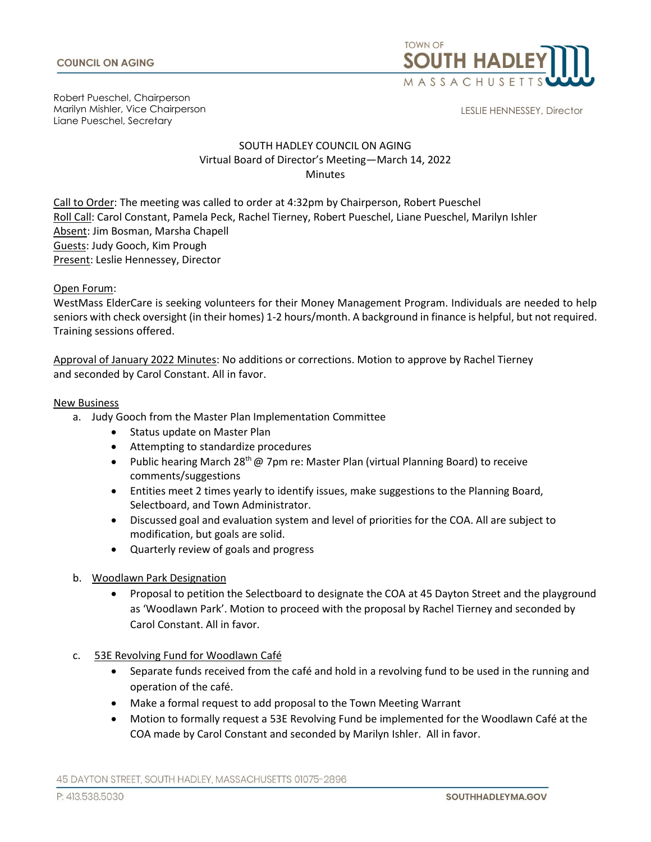

Robert Pueschel, Chairperson Marilyn Mishler, Vice Chairperson Liane Pueschel, Secretary

LESLIE HENNESSEY, Director

# SOUTH HADLEY COUNCIL ON AGING Virtual Board of Director's Meeting—March 14, 2022 **Minutes**

Call to Order: The meeting was called to order at 4:32pm by Chairperson, Robert Pueschel Roll Call: Carol Constant, Pamela Peck, Rachel Tierney, Robert Pueschel, Liane Pueschel, Marilyn Ishler Absent: Jim Bosman, Marsha Chapell Guests: Judy Gooch, Kim Prough Present: Leslie Hennessey, Director

## Open Forum:

WestMass ElderCare is seeking volunteers for their Money Management Program. Individuals are needed to help seniors with check oversight (in their homes) 1-2 hours/month. A background in finance is helpful, but not required. Training sessions offered.

Approval of January 2022 Minutes: No additions or corrections. Motion to approve by Rachel Tierney and seconded by Carol Constant. All in favor.

## New Business

- a. Judy Gooch from the Master Plan Implementation Committee
	- Status update on Master Plan
	- Attempting to standardize procedures
	- Public hearing March 28<sup>th</sup> @ 7pm re: Master Plan (virtual Planning Board) to receive comments/suggestions
	- Entities meet 2 times yearly to identify issues, make suggestions to the Planning Board, Selectboard, and Town Administrator.
	- Discussed goal and evaluation system and level of priorities for the COA. All are subject to modification, but goals are solid.
	- Quarterly review of goals and progress
	- b. Woodlawn Park Designation
		- Proposal to petition the Selectboard to designate the COA at 45 Dayton Street and the playground as 'Woodlawn Park'. Motion to proceed with the proposal by Rachel Tierney and seconded by Carol Constant. All in favor.
	- c. 53E Revolving Fund for Woodlawn Café
		- Separate funds received from the café and hold in a revolving fund to be used in the running and operation of the café.
		- Make a formal request to add proposal to the Town Meeting Warrant
		- Motion to formally request a 53E Revolving Fund be implemented for the Woodlawn Café at the COA made by Carol Constant and seconded by Marilyn Ishler. All in favor.

45 DAYTON STREET, SOUTH HADLEY, MASSACHUSETTS 01075-2896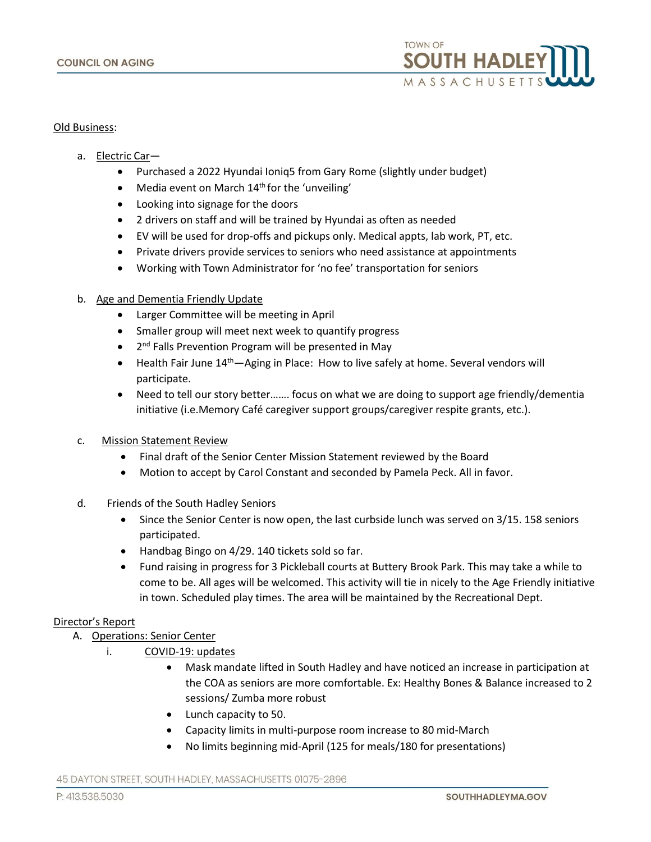

## Old Business:

- a. Electric Car—
	- Purchased a 2022 Hyundai Ioniq5 from Gary Rome (slightly under budget)
	- Media event on March  $14<sup>th</sup>$  for the 'unveiling'
	- Looking into signage for the doors
	- 2 drivers on staff and will be trained by Hyundai as often as needed
	- EV will be used for drop-offs and pickups only. Medical appts, lab work, PT, etc.
	- Private drivers provide services to seniors who need assistance at appointments
	- Working with Town Administrator for 'no fee' transportation for seniors

### b. Age and Dementia Friendly Update

- Larger Committee will be meeting in April
- Smaller group will meet next week to quantify progress
- 2<sup>nd</sup> Falls Prevention Program will be presented in May
- Health Fair June 14<sup>th</sup>—Aging in Place: How to live safely at home. Several vendors will participate.
- Need to tell our story better……. focus on what we are doing to support age friendly/dementia initiative (i.e.Memory Café caregiver support groups/caregiver respite grants, etc.).
- c. Mission Statement Review
	- Final draft of the Senior Center Mission Statement reviewed by the Board
	- Motion to accept by Carol Constant and seconded by Pamela Peck. All in favor.
- d. Friends of the South Hadley Seniors
	- Since the Senior Center is now open, the last curbside lunch was served on 3/15. 158 seniors participated.
	- Handbag Bingo on 4/29. 140 tickets sold so far.
	- Fund raising in progress for 3 Pickleball courts at Buttery Brook Park. This may take a while to come to be. All ages will be welcomed. This activity will tie in nicely to the Age Friendly initiative in town. Scheduled play times. The area will be maintained by the Recreational Dept.

### Director's Report

- A. Operations: Senior Center
	- i. COVID-19: updates
		- Mask mandate lifted in South Hadley and have noticed an increase in participation at the COA as seniors are more comfortable. Ex: Healthy Bones & Balance increased to 2 sessions/ Zumba more robust
		- Lunch capacity to 50.
		- Capacity limits in multi-purpose room increase to 80 mid-March
		- No limits beginning mid-April (125 for meals/180 for presentations)

45 DAYTON STREET, SOUTH HADLEY, MASSACHUSETTS 01075-2896